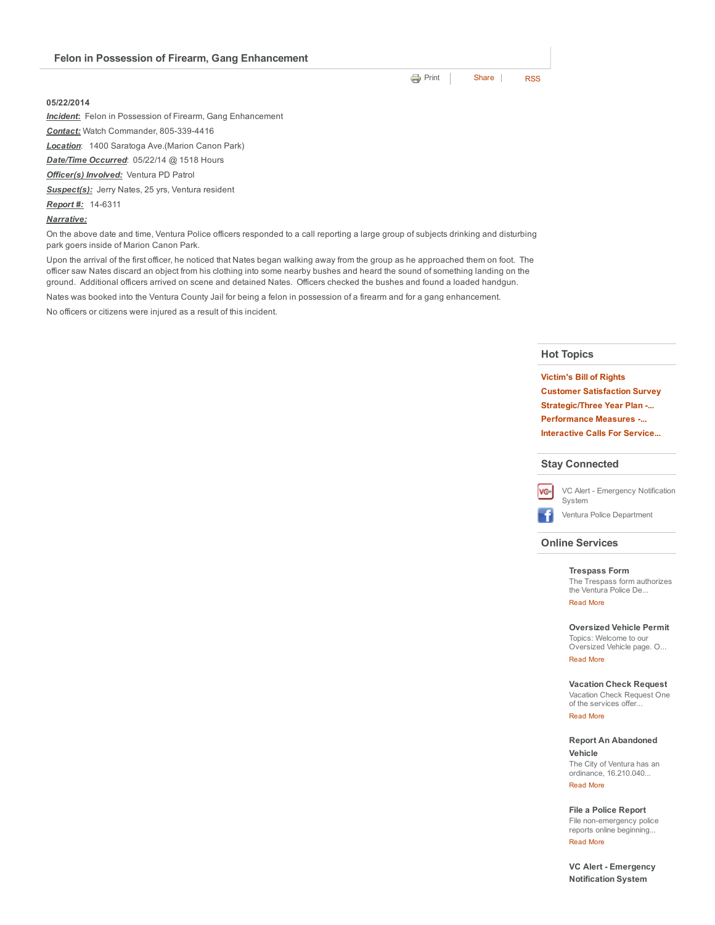|  |  | Felon in Possession of Firearm, Gang Enhancement |
|--|--|--------------------------------------------------|
|--|--|--------------------------------------------------|

## 05/22/2014

*Incident*: Felon in Possession of Firearm, Gang Enhancement

**Contact:** Watch Commander, 805-339-4416

*Location*: 1400 Saratoga Ave.(Marion Canon Park)

*Date/Time Occurred*: 05/22/14 @ 1518 Hours

*Officer(s) Involved:* Ventura PD Patrol

*Suspect(s):* Jerry Nates, 25 yrs, Ventura resident

**Report #:** 14-6311

## *Narrative:*

On the above date and time, Ventura Police officers responded to a call reporting a large group of subjects drinking and disturbing park goers inside of Marion Canon Park.

Upon the arrival of the first officer, he noticed that Nates began walking away from the group as he approached them on foot. The officer saw Nates discard an object from his clothing into some nearby bushes and heard the sound of something landing on the ground. Additional officers arrived on scene and detained Nates. Officers checked the bushes and found a loaded handgun.

Nates was booked into the Ventura County Jail for being a felon in possession of a firearm and for a gang enhancement.

No officers or citizens were injured as a result of this incident.

# Hot Topics

[Victim's](http://www.cityofventura.net/pd/about/departments/investigations#victim%27s%20ri...) Bill of Rights Customer [Satisfaction](http://www.cityofventura.net/page/customer-satisfaction-survey) Survey [Strategic/Three](http://www.cityofventura.net/pd/about/strategicplan) Year Plan -... [Performance](http://www.cityofventura.net/pd/performancemeasures) Measures ... [Interactive](http://www.cityofventura.net/pd/crime/calls#map) Calls For Service...

### Stay Connected



VC Alert - [Emergency](http://www.cityofventura.net/VCAlert) Notification System Ventura Police [Department](http://www.facebook.com/venturapd)

# Online Services

### [Trespass](http://www.cityofventura.net/node/17382) Form

The Trespass form authorizes the Ventura Police De... [Read](http://www.cityofventura.net/Trespass) More

## [Oversized](http://www.cityofventura.net/pd/services/oversizedvehicle) Vehicle Permit

Topics: Welcome to our Oversized Vehicle page. O... [Read](http://www.cityofventura.net/node/15747) More

### [Vacation](https://secure.coplogic.com/dors/startreport/118786800/157455601) Check Request

Vacation Check Request One of the services offer... [Read](http://www.cityofventura.net/node/15746) More

### Report An [Abandoned](http://www.cityofventura.net/pd/services/abandonedvehicle)

Vehicle The City of Ventura has an ordinance, 16.210.040...

[Read](http://www.cityofventura.net/node/11927) More

## File a Police [Report](http://www.cityofventura.net/pd/reporting/start-report)

File non-emergency police reports online beginning... [Read](http://www.cityofventura.net/node/10942) More

VC Alert - [Emergency](http://www.cityofventura.net/VCAlert) Notification System

**[Print](http://www.cityofventura.net/print/15816)** | [Share](javascript:void(0)) | [RSS](http://www.cityofventura.net/feed/press_release/rss.xml)